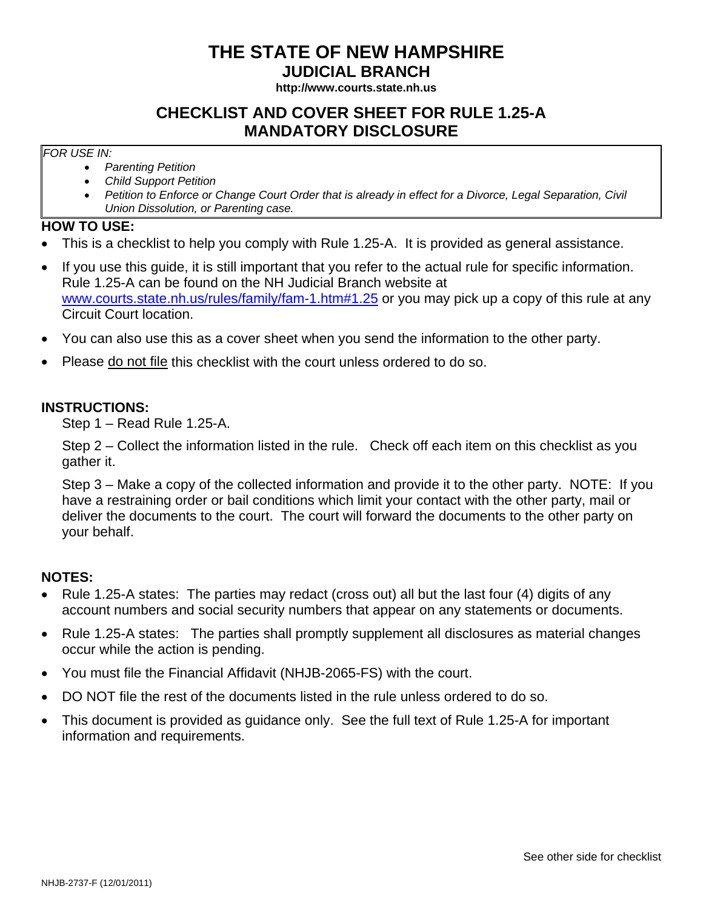# **THE STATE OF NEW HAMPSHIRE**

**JUDICIAL BRANCH** 

**http://www.courts.state.nh.us**

## **CHECKLIST AND COVER SHEET FOR RULE 1.25-A MANDATORY DISCLOSURE**

#### *FOR USE IN:*

- *Parenting Petition*
- *Child Support Petition*
- *Petition to Enforce or Change Court Order that is already in effect for a Divorce, Legal Separation, Civil Union Dissolution, or Parenting case.*

### **HOW TO USE:**

- This is a checklist to help you comply with Rule 1.25-A. It is provided as general assistance.
- If you use this guide, it is still important that you refer to the actual rule for specific information. Rule 1.25-A can be found on the NH Judicial Branch website at www.courts.state.nh.us/rules/family/fam-1.htm#1.25 or you may pick up a copy of this rule at any Circuit Court location.
- You can also use this as a cover sheet when you send the information to the other party.
- Please do not file this checklist with the court unless ordered to do so.

### **INSTRUCTIONS:**

Step 1 – Read Rule 1.25-A.

Step 2 – Collect the information listed in the rule. Check off each item on this checklist as you gather it.

Step 3 – Make a copy of the collected information and provide it to the other party. NOTE: If you have a restraining order or bail conditions which limit your contact with the other party, mail or deliver the documents to the court. The court will forward the documents to the other party on your behalf.

### **NOTES:**

- Rule 1.25-A states: The parties may redact (cross out) all but the last four (4) digits of any account numbers and social security numbers that appear on any statements or documents.
- Rule 1.25-A states: The parties shall promptly supplement all disclosures as material changes occur while the action is pending.
- You must file the Financial Affidavit (NHJB-2065-FS) with the court.
- DO NOT file the rest of the documents listed in the rule unless ordered to do so.
- This document is provided as guidance only. See the full text of Rule 1.25-A for important information and requirements.